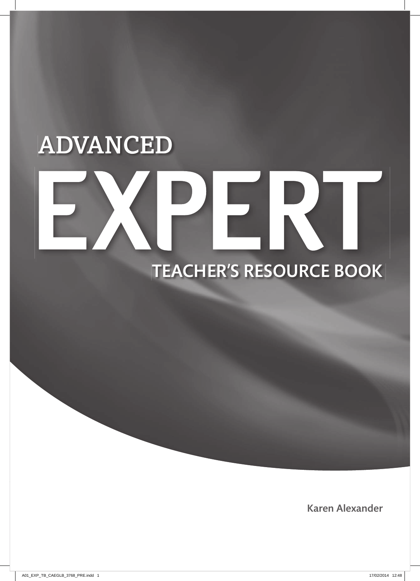# ADVANCED K  $\overline{\phantom{0}}$

# TEACHER'S RESOURCE BOOK

Karen Alexander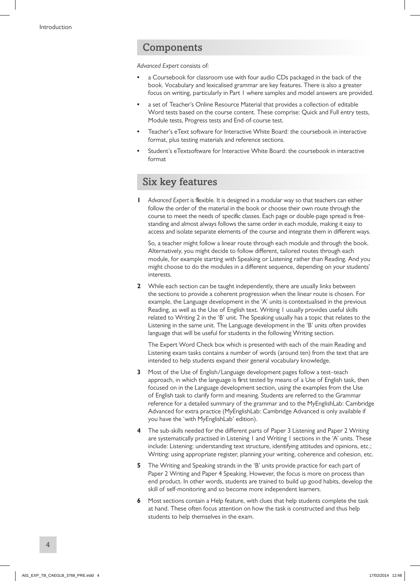# **Components**

*Advanced Expert* consists of:

- **•**  a Coursebook for classroom use with four audio CDs packaged in the back of the book. Vocabulary and lexicalised grammar are key features. There is also a greater focus on writing, particularly in Part 1 where samples and model answers are provided.
- **•**  a set of Teacher's Online Resource Material that provides a collection of editable Word tests based on the course content. These comprise: Quick and Full entry tests, Module tests, Progress tests and End-of-course test.
- Teacher's eText software for Interactive White Board: the coursebook in interactive format, plus testing materials and reference sections.
- Student's eTextsoftware for Interactive White Board: the coursebook in interactive format

# Six key features

**1** *Advanced Expert* is flexible. It is designed in a modular way so that teachers can either follow the order of the material in the book or choose their own route through the course to meet the needs of specific classes. Each page or double-page spread is freestanding and almost always follows the same order in each module, making it easy to access and isolate separate elements of the course and integrate them in different ways.

So, a teacher might follow a linear route through each module and through the book. Alternatively, you might decide to follow different, tailored routes through each module, for example starting with Speaking or Listening rather than Reading. And you might choose to do the modules in a different sequence, depending on your students' interests.

**2** While each section can be taught independently, there are usually links between the sections to provide a coherent progression when the linear route is chosen. For example, the Language development in the 'A' units is contextualised in the previous Reading, as well as the Use of English text. Writing 1 usually provides useful skills related to Writing 2 in the 'B' unit. The Speaking usually has a topic that relates to the Listening in the same unit. The Language development in the 'B' units often provides language that will be useful for students in the following Writing section.

The Expert Word Check box which is presented with each of the main Reading and Listening exam tasks contains a number of words (around ten) from the text that are intended to help students expand their general vocabulary knowledge.

- **3** Most of the Use of English/Language development pages follow a test–teach approach, in which the language is first tested by means of a Use of English task, then focused on in the Language development section, using the examples from the Use of English task to clarify form and meaning. Students are referred to the Grammar reference for a detailed summary of the grammar and to the MyEnglishLab: Cambridge Advanced for extra practice (MyEnglishLab: Cambridge Advanced is only available if you have the 'with MyEnglishLab' edition).
- **4** The sub-skills needed for the different parts of Paper 3 Listening and Paper 2 Writing are systematically practised in Listening 1 and Writing 1 sections in the 'A' units. These include: Listening: understanding text structure, identifying attitudes and opinions, etc.; Writing: using appropriate register, planning your writing, coherence and cohesion, etc.
- **5** The Writing and Speaking strands in the 'B' units provide practice for each part of Paper 2 Writing and Paper 4 Speaking. However, the focus is more on process than end product. In other words, students are trained to build up good habits, develop the skill of self-monitoring and so become more independent learners.
- **6** Most sections contain a Help feature, with clues that help students complete the task at hand. These often focus attention on how the task is constructed and thus help students to help themselves in the exam.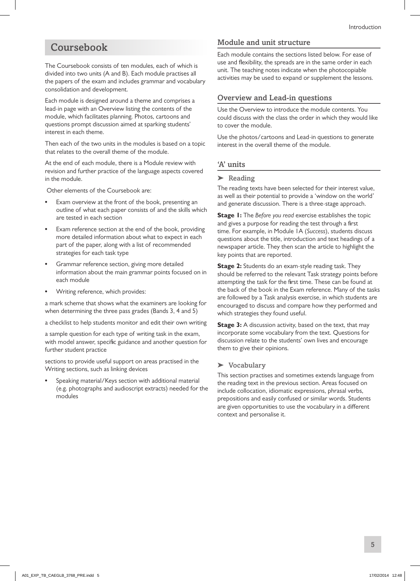# Coursebook

The Coursebook consists of ten modules, each of which is divided into two units (A and B). Each module practises all the papers of the exam and includes grammar and vocabulary consolidation and development.

Each module is designed around a theme and comprises a lead-in page with an Overview listing the contents of the module, which facilitates planning. Photos, cartoons and questions prompt discussion aimed at sparking students' interest in each theme.

Then each of the two units in the modules is based on a topic that relates to the overall theme of the module.

At the end of each module, there is a Module review with revision and further practice of the language aspects covered in the module.

Other elements of the Coursebook are:

- Exam overview at the front of the book, presenting an outline of what each paper consists of and the skills which are tested in each section
- Exam reference section at the end of the book, providing more detailed information about what to expect in each part of the paper, along with a list of recommended strategies for each task type
- Grammar reference section, giving more detailed information about the main grammar points focused on in each module
- Writing reference, which provides:

a mark scheme that shows what the examiners are looking for when determining the three pass grades (Bands 3, 4 and 5)

a checklist to help students monitor and edit their own writing

a sample question for each type of writing task in the exam, with model answer, specific guidance and another question for further student practice

sections to provide useful support on areas practised in the Writing sections, such as linking devices

Speaking material/Keys section with additional material (e.g. photographs and audioscript extracts) needed for the modules

# Module and unit structure

Each module contains the sections listed below. For ease of use and flexibility, the spreads are in the same order in each unit. The teaching notes indicate when the photocopiable activities may be used to expand or supplement the lessons.

# Overview and Lead-in questions

Use the Overview to introduce the module contents. You could discuss with the class the order in which they would like to cover the module.

Use the photos/cartoons and Lead-in questions to generate interest in the overall theme of the module.

# 'A' units

# ➤ Reading

The reading texts have been selected for their interest value, as well as their potential to provide a 'window on the world' and generate discussion. There is a three-stage approach.

**Stage 1:** The *Before you read* exercise establishes the topic and gives a purpose for reading the test through a first time. For example, in Module 1A (*Success*), students discuss questions about the title, introduction and text headings of a newspaper article. They then scan the article to highlight the key points that are reported.

**Stage 2:** Students do an exam-style reading task. They should be referred to the relevant Task strategy points before attempting the task for the first time. These can be found at the back of the book in the Exam reference. Many of the tasks are followed by a Task analysis exercise, in which students are encouraged to discuss and compare how they performed and which strategies they found useful.

**Stage 3:** A discussion activity, based on the text, that may incorporate some vocabulary from the text. Questions for discussion relate to the students' own lives and encourage them to give their opinions.

# ➤ Vocabulary

This section practises and sometimes extends language from the reading text in the previous section. Areas focused on include collocation, idiomatic expressions, phrasal verbs, prepositions and easily confused or similar words. Students are given opportunities to use the vocabulary in a different context and personalise it.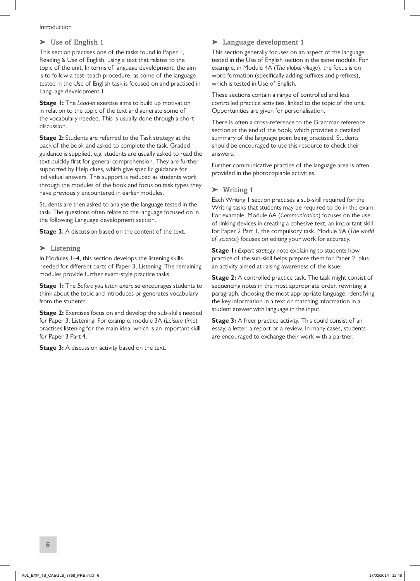# Introduction

# ➤ Use of English 1

This section practises one of the tasks found in Paper 1, Reading & Use of English, using a text that relates to the topic of the unit. In terms of language development, the aim is to follow a test–teach procedure, as some of the language tested in the Use of English task is focused on and practised in Language development 1.

**Stage 1:** The *Lead-in* exercise aims to build up motivation in relation to the topic of the text and generate some of the vocabulary needed. This is usually done through a short discussion.

**Stage 2:** Students are referred to the Task strategy at the back of the book and asked to complete the task. Graded guidance is supplied, e.g. students are usually asked to read the text quickly first for general comprehension. They are further supported by Help clues, which give specific guidance for individual answers. This support is reduced as students work through the modules of the book and focus on task types they have previously encountered in earlier modules.

Students are then asked to analyse the language tested in the task. The questions often relate to the language focused on in the following Language development section.

**Stage 3**: A discussion based on the content of the text.

# ➤ Listening

In Modules 1–4, this section develops the listening skills needed for different parts of Paper 3, Listening. The remaining modules provide further exam-style practice tasks.

**Stage 1:** The *Before you listen* exercise encourages students to think about the topic and introduces or generates vocabulary from the students.

**Stage 2:** Exercises focus on and develop the sub-skills needed for Paper 3, Listening. For example, module 3A (*Leisure time*) practises listening for the main idea, which is an important skill for Paper 3 Part 4.

**Stage 3:** A discussion activity based on the text.

# ► Language development 1

This section generally focuses on an aspect of the language tested in the Use of English section in the same module. For example, in Module 4A (*The global village*), the focus is on word formation (specifically adding suffixes and prefixes), which is tested in Use of English.

These sections contain a range of controlled and less controlled practice activities, linked to the topic of the unit. Opportunities are given for personalisation.

There is often a cross-reference to the Grammar reference section at the end of the book, which provides a detailed summary of the language point being practised. Students should be encouraged to use this resource to check their answers.

Further communicative practice of the language area is often provided in the photocopiable activities.

# ➤ Writing 1

Each Writing 1 section practises a sub-skill required for the Writing tasks that students may be required to do in the exam. For example, Module 6A (*Communication*) focuses on the use of linking devices in creating a cohesive text, an important skill for Paper 2 Part 1, the compulsory task. Module 9A (*The world of science*) focuses on editing your work for accuracy.

**Stage 1:** *Expert strategy* note explaining to students how practice of the sub-skill helps prepare them for Paper 2, plus an activity aimed at raising awareness of the issue.

**Stage 2:** A controlled practice task. The task might consist of sequencing notes in the most appropriate order, rewriting a paragraph, choosing the most appropriate language, identifying the key information in a text or matching information in a student answer with language in the input.

**Stage 3:** A freer practice activity. This could consist of an essay, a letter, a report or a review. In many cases, students are encouraged to exchange their work with a partner.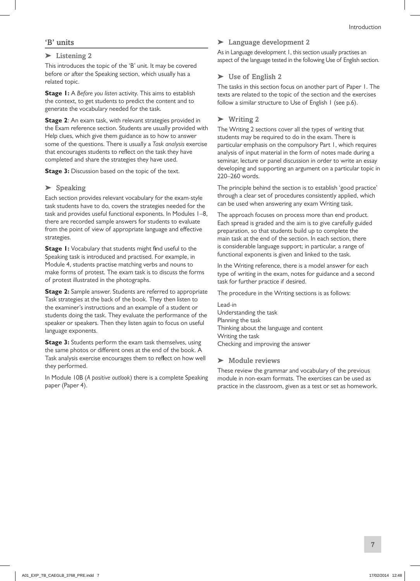# 'B' units

# ➤ Listening 2

This introduces the topic of the 'B' unit. It may be covered before or after the Speaking section, which usually has a related topic.

**Stage 1:** A *Before you listen* activity. This aims to establish the context, to get students to predict the content and to generate the vocabulary needed for the task.

**Stage 2**: An exam task, with relevant strategies provided in the Exam reference section. Students are usually provided with Help clues, which give them guidance as to how to answer some of the questions. There is usually a *Task analysis* exercise that encourages students to reflect on the task they have completed and share the strategies they have used.

**Stage 3:** Discussion based on the topic of the text.

# ➤ Speaking

Each section provides relevant vocabulary for the exam-style task students have to do, covers the strategies needed for the task and provides useful functional exponents. In Modules 1–8, there are recorded sample answers for students to evaluate from the point of view of appropriate language and effective strategies.

**Stage I:** Vocabulary that students might find useful to the Speaking task is introduced and practised. For example, in Module 4, students practise matching verbs and nouns to make forms of protest. The exam task is to discuss the forms of protest illustrated in the photographs.

**Stage 2:** Sample answer. Students are referred to appropriate Task strategies at the back of the book. They then listen to the examiner's instructions and an example of a student or students doing the task. They evaluate the performance of the speaker or speakers. Then they listen again to focus on useful language exponents.

**Stage 3:** Students perform the exam task themselves, using the same photos or different ones at the end of the book. A Task analysis exercise encourages them to reflect on how well they performed.

In Module 10B (*A positive outlook*) there is a complete Speaking paper (Paper 4).

# ➤ Language development 2

As in Language development 1, this section usually practises an aspect of the language tested in the following Use of English section.

# ➤ Use of English 2

The tasks in this section focus on another part of Paper 1. The texts are related to the topic of the section and the exercises follow a similar structure to Use of English 1 (see p.6).

# ➤ Writing 2

The Writing 2 sections cover all the types of writing that students may be required to do in the exam. There is particular emphasis on the compulsory Part 1, which requires analysis of input material in the form of notes made during a seminar, lecture or panel discussion in order to write an essay developing and supporting an argument on a particular topic in 220–260 words.

The principle behind the section is to establish 'good practice' through a clear set of procedures consistently applied, which can be used when answering any exam Writing task.

The approach focuses on process more than end product. Each spread is graded and the aim is to give carefully guided preparation, so that students build up to complete the main task at the end of the section. In each section, there is considerable language support; in particular, a range of functional exponents is given and linked to the task.

In the Writing reference, there is a model answer for each type of writing in the exam, notes for guidance and a second task for further practice if desired.

The procedure in the Writing sections is as follows:

Lead-in Understanding the task Planning the task Thinking about the language and content Writing the task Checking and improving the answer

# ➤ Module reviews

These review the grammar and vocabulary of the previous module in non-exam formats. The exercises can be used as practice in the classroom, given as a test or set as homework.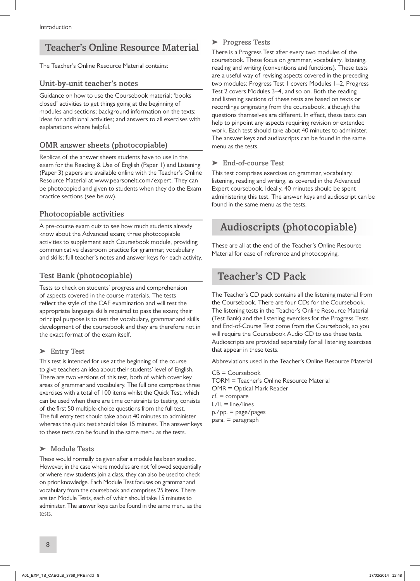# Teacher's Online Resource Material

The Teacher's Online Resource Material contains:

# Unit-by-unit teacher's notes

Guidance on how to use the Coursebook material; 'books closed' activities to get things going at the beginning of modules and sections; background information on the texts; ideas for additional activities; and answers to all exercises with explanations where helpful.

# OMR answer sheets (photocopiable)

Replicas of the answer sheets students have to use in the exam for the Reading & Use of English (Paper 1) and Listening (Paper 3) papers are available online with the Teacher's Online Resource Material at www.pearsonelt.com/expert. They can be photocopied and given to students when they do the Exam practice sections (see below).

# Photocopiable activities

A pre-course exam quiz to see how much students already know about the Advanced exam; three photocopiable activities to supplement each Coursebook module, providing communicative classroom practice for grammar, vocabulary and skills; full teacher's notes and answer keys for each activity.

# Test Bank (photocopiable)

Tests to check on students' progress and comprehension of aspects covered in the course materials. The tests reflect the style of the CAE examination and will test the appropriate language skills required to pass the exam; their principal purpose is to test the vocabulary, grammar and skills development of the coursebook and they are therefore not in the exact format of the exam itself.

# ➤ Entry Test

This test is intended for use at the beginning of the course to give teachers an idea about their students' level of English. There are two versions of this test, both of which cover key areas of grammar and vocabulary. The full one comprises three exercises with a total of 100 items whilst the Quick Test, which can be used when there are time constraints to testing, consists of the first 50 multiple-choice questions from the full test. The full entry test should take about 40 minutes to administer whereas the quick test should take 15 minutes. The answer keys to these tests can be found in the same menu as the tests.

# ➤ Module Tests

These would normally be given after a module has been studied. However, in the case where modules are not followed sequentially or where new students join a class, they can also be used to check on prior knowledge. Each Module Test focuses on grammar and vocabulary from the coursebook and comprises 25 items. There are ten Module Tests, each of which should take 15 minutes to administer. The answer keys can be found in the same menu as the tests.

# ▶ Progress Tests

There is a Progress Test after every two modules of the coursebook. These focus on grammar, vocabulary, listening, reading and writing (conventions and functions). These tests are a useful way of revising aspects covered in the preceding two modules: Progress Test 1 covers Modules 1–2, Progress Test 2 covers Modules 3–4, and so on. Both the reading and listening sections of these tests are based on texts or recordings originating from the coursebook, although the questions themselves are different. In effect, these tests can help to pinpoint any aspects requiring revision or extended work. Each test should take about 40 minutes to administer. The answer keys and audioscripts can be found in the same menu as the tests.

# ➤ End-of-course Test

This test comprises exercises on grammar, vocabulary, listening, reading and writing, as covered in the Advanced Expert coursebook. Ideally, 40 minutes should be spent administering this test. The answer keys and audioscript can be found in the same menu as the tests.

# Audioscripts (photocopiable)

These are all at the end of the Teacher's Online Resource Material for ease of reference and photocopying.

# Teacher's CD Pack

The Teacher's CD pack contains all the listening material from the Coursebook. There are four CDs for the Coursebook. The listening tests in the Teacher's Online Resource Material (Test Bank) and the listening exercises for the Progress Tests and End-of-Course Test come from the Coursebook, so you will require the Coursebook Audio CD to use these tests. Audioscripts are provided separately for all listening exercises that appear in these tests.

Abbreviations used in the Teacher's Online Resource Material

 $CB = Conrespond$ TORM = Teacher's Online Resource Material OMR = Optical Mark Reader cf. = compare l./ll. = line/lines  $p./$ pp.  $=$  page/pages para. = paragraph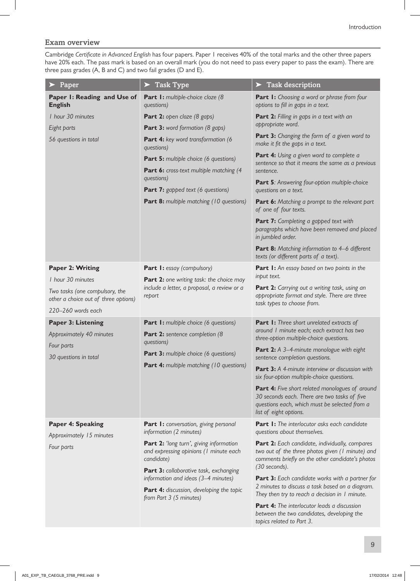# Exam overview

Cambridge *Certificate in Advanced English* has four papers. Paper 1 receives 40% of the total marks and the other three papers have 20% each. The pass mark is based on an overall mark (you do not need to pass every paper to pass the exam). There are three pass grades (A, B and C) and two fail grades (D and E).

| Paper                                                                  | <b>Task Type</b>                                                                                           | <b>Task description</b>                                                                                                                                                                                                                                                                                                                                                                                                                                          |  |  |  |
|------------------------------------------------------------------------|------------------------------------------------------------------------------------------------------------|------------------------------------------------------------------------------------------------------------------------------------------------------------------------------------------------------------------------------------------------------------------------------------------------------------------------------------------------------------------------------------------------------------------------------------------------------------------|--|--|--|
| Paper I: Reading and Use of<br><b>English</b>                          | Part I: multiple-choice cloze (8<br>questions)                                                             | Part I: Choosing a word or phrase from four<br>options to fill in gaps in a text.                                                                                                                                                                                                                                                                                                                                                                                |  |  |  |
| 1 hour 30 minutes                                                      | Part 2: open cloze (8 gaps)                                                                                | Part 2: Filling in gaps in a text with an                                                                                                                                                                                                                                                                                                                                                                                                                        |  |  |  |
| Eight parts                                                            | Part 3: word formation (8 gaps)                                                                            | appropriate word.                                                                                                                                                                                                                                                                                                                                                                                                                                                |  |  |  |
| 56 questions in total                                                  | Part 4: key word transformation (6<br>questions)                                                           | Part 3: Changing the form of a given word to<br>make it fit the gaps in a text.<br>Part 4: Using a given word to complete a<br>sentence so that it means the same as a previous<br>sentence.<br>Part 5: Answering four-option multiple-choice<br>questions on a text.<br>Part 6: Matching a prompt to the relevant part<br>of one of four texts.<br>Part 7: Completing a gapped text with<br>paragraphs which have been removed and placed<br>in jumbled order.  |  |  |  |
|                                                                        | <b>Part 5:</b> multiple choice (6 questions)                                                               |                                                                                                                                                                                                                                                                                                                                                                                                                                                                  |  |  |  |
|                                                                        | Part 6: cross-text multiple matching (4<br>questions)                                                      |                                                                                                                                                                                                                                                                                                                                                                                                                                                                  |  |  |  |
|                                                                        | <b>Part 7:</b> gapped text (6 questions)                                                                   |                                                                                                                                                                                                                                                                                                                                                                                                                                                                  |  |  |  |
|                                                                        | Part 8: multiple matching (10 questions)                                                                   |                                                                                                                                                                                                                                                                                                                                                                                                                                                                  |  |  |  |
|                                                                        |                                                                                                            |                                                                                                                                                                                                                                                                                                                                                                                                                                                                  |  |  |  |
|                                                                        |                                                                                                            | Part 8: Matching information to 4-6 different<br>texts (or different parts of a text).                                                                                                                                                                                                                                                                                                                                                                           |  |  |  |
| Paper 2: Writing                                                       | Part I: essay (compulsory)                                                                                 | Part I: An essay based on two points in the                                                                                                                                                                                                                                                                                                                                                                                                                      |  |  |  |
| 1 hour 30 minutes                                                      | Part 2: one writing task: the choice may                                                                   | input text.                                                                                                                                                                                                                                                                                                                                                                                                                                                      |  |  |  |
| Two tasks (one compulsory, the<br>other a choice out of three options) | include a letter, a proposal, a review or a<br>report                                                      | Part 2: Carrying out a writing task, using an<br>appropriate format and style. There are three<br>task types to choose from.                                                                                                                                                                                                                                                                                                                                     |  |  |  |
| 220-260 words each                                                     |                                                                                                            |                                                                                                                                                                                                                                                                                                                                                                                                                                                                  |  |  |  |
| Paper 3: Listening<br>Approximately 40 minutes                         | Part I: multiple choice (6 questions)<br>Part 2: sentence completion (8                                    | Part 1: Three short unrelated extracts of<br>around I minute each; each extract has two<br>three-option multiple-choice questions.                                                                                                                                                                                                                                                                                                                               |  |  |  |
| Four parts                                                             | questions)                                                                                                 | Part 2: A 3-4-minute monologue with eight                                                                                                                                                                                                                                                                                                                                                                                                                        |  |  |  |
| 30 questions in total                                                  | Part 3: multiple choice (6 questions)                                                                      | sentence completion questions.                                                                                                                                                                                                                                                                                                                                                                                                                                   |  |  |  |
|                                                                        | <b>Part 4:</b> multiple matching (10 questions)                                                            | Part 3: A 4-minute interview or discussion with<br>six four-option multiple-choice questions.                                                                                                                                                                                                                                                                                                                                                                    |  |  |  |
|                                                                        |                                                                                                            | Part 4: Five short related monologues of around<br>30 seconds each. There are two tasks of five<br>questions each, which must be selected from a<br>list of eight options.                                                                                                                                                                                                                                                                                       |  |  |  |
| <b>Paper 4: Speaking</b><br>Approximately 15 minutes                   | Part I: conversation, giving personal<br>information (2 minutes)                                           | Part 1: The interlocutor asks each candidate<br>questions about themselves.                                                                                                                                                                                                                                                                                                                                                                                      |  |  |  |
| Four parts                                                             | Part 2: 'long turn', giving information<br>and expressing opinions (1 minute each<br>candidate)            | Part 2: Each candidate, individually, compares<br>two out of the three photos given (1 minute) and<br>comments briefly on the other candidate's photos<br>(30 seconds).<br>Part 3: Each candidate works with a partner for<br>2 minutes to discuss a task based on a diagram.<br>They then try to reach a decision in I minute.<br><b>Part 4:</b> The interlocutor leads a discussion<br>between the two candidates, developing the<br>topics related to Part 3. |  |  |  |
|                                                                        | Part 3: collaborative task, exchanging                                                                     |                                                                                                                                                                                                                                                                                                                                                                                                                                                                  |  |  |  |
|                                                                        | information and ideas (3-4 minutes)<br>Part 4: discussion, developing the topic<br>from Part 3 (5 minutes) |                                                                                                                                                                                                                                                                                                                                                                                                                                                                  |  |  |  |
|                                                                        |                                                                                                            |                                                                                                                                                                                                                                                                                                                                                                                                                                                                  |  |  |  |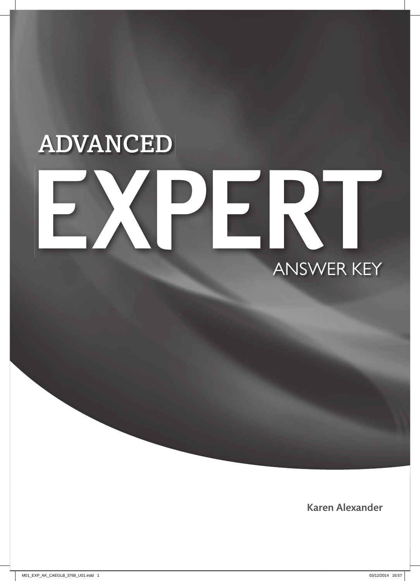# ADVANCED  $\Box$ R  $\blacksquare$ ANSWER KEY

Karen Alexander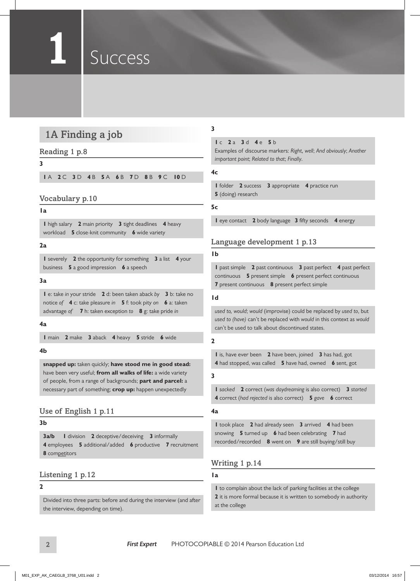# **1** Success

# 1A Finding a job

# Reading 1 p.8

Answer Key

# **3**

**1** A **2** C **3** D **4** B **5** A **6** B **7** D **8** B **9** C **10** D

# Vocabulary p.10

# **1a**

**1** high salary **2** main priority **3** tight deadlines **4** heavy workload **5** close-knit community **6** wide variety

# **2a**

**1** severely **2** the opportunity for something **3** a list **4** your business **5** a good impression **6** a speech

# **3a**

**1** e: take *in* your stride **2** d: been taken aback *by* **3** b: take no notice *of* **4** c: take pleasure *in* **5** f: took pity *on* **6** a: taken advantage *of* **7** h: taken exception *to* **8** g: take pride *in*

# **4a**

**1** main **2** make **3** aback **4** heavy **5** stride **6** wide

# **4b**

**snapped up:** taken quickly; **have stood me in good stead:** have been very useful; **from all walks of life:** a wide variety of people, from a range of backgrounds; **part and parcel:** a necessary part of something; **crop up:** happen unexpectedly

# Use of English 1 p.11

# **3b**

**3a/b 1** division **2** deceptive/deceiving **3** informally **4** employees **5** additional/added **6** productive **7** recruitment **8** competitors

# Listening 1 p.12

# **2**

Divided into three parts: before and during the interview (and after the interview, depending on time).

# **3**

# **1** c **2** a **3** d **4** e **5** b

Examples of discourse markers: *Right, well*; *And obviously*; *Another important point*; *Related to that*; *Finally*.

# **4c**

**1** folder **2** success **3** appropriate **4** practice run **5** (doing) research

# **5c**

**1** eye contact **2** body language **3** fifty seconds **4** energy

# Language development 1 p.13

# **1b**

**1** past simple **2** past continuous **3** past perfect **4** past perfect continuous **5** present simple **6** present perfect continuous **7** present continuous **8** present perfect simple

# **1d**

*used to, would*; *would* (improvise) could be replaced by *used to*, but *used to (have)* can't be replaced with *would* in this context as *would* can't be used to talk about discontinued states.

# **2**

**1** is, have ever been **2** have been, joined **3** has had, got **4** had stopped, was called **5** have had, owned **6** sent, got

# **3**

**1** *sacked* **2** correct (*was daydreaming* is also correct) **3** *started* **4** correct (*had rejected* is also correct) **5** *gave* **6** correct

# **4a**

**1** took place **2** had already seen **3** arrived **4** had been snowing **5** turned up **6** had been celebrating **7** had recorded/recorded **8** went on **9** are still buying/still buy

# Writing 1 p.14

# **1a**

**1** to complain about the lack of parking facilities at the college **2** it is more formal because it is written to somebody in authority at the college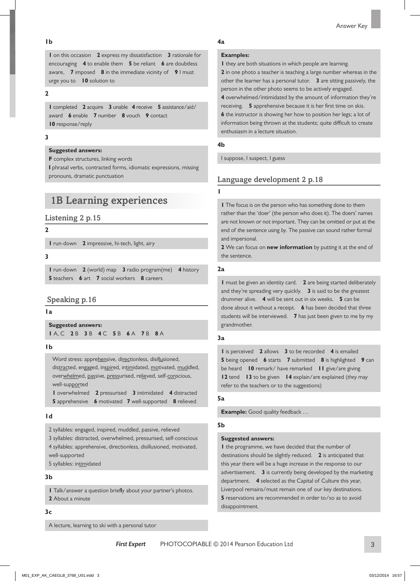# **1b**

**1** on this occasion **2** express my dissatisfaction **3** rationale for encouraging **4** to enable them **5** be reliant **6** are doubtless aware, **7** imposed **8** in the immediate vicinity of **9** I must urge you to **10** solution to

# **2**

**1** completed **2** acquire **3** unable **4** receive **5** assistance/aid/ award **6** enable **7** number **8** vouch **9** contact **10** response/reply

#### **3**

#### **Suggested answers:**

**F** complex structures, linking words

**I** phrasal verbs, contracted forms, idiomatic expressions, missing pronouns, dramatic punctuation

# 1B Learning experiences

# Listening 2 p.15

# **2**

**1** run-down **2** impressive, hi-tech, light, airy

# **3**

**1** run-down **2** (world) map **3** radio program(me) **4** history **5** teachers **6** art **7** social workers **8** careers

# Speaking p.16

# **1a**

**Suggested answers: 1** A, C **2** B **3** B **4** C **5** B **6** A **7** B **8** A

# **1b**

Word stress: apprehensive, directionless, disillusioned, distracted, engaged, inspired, intimidated, motivated, muddled, overwhelmed, passive, pressurised, relieved, self-conscious, well-supported **1** overwhelmed **2** pressurised **3** intimidated **4** distracted

**5** apprehensive **6** motivated **7** well-supported **8** relieved

# **1d**

2 syllables: engaged, inspired, muddled, passive, relieved

3 syllables: distracted, overwhelmed, pressurised, self-conscious 4 syllables: apprehensive, directionless, disillusioned, motivated, well-supported

5 syllables: intimidated

## **3b**

**1** Talk/answer a question briefly about your partner's photos. **2** About a minute

### **3c**

A lecture, learning to ski with a personal tutor

# **4a**

# **Examples:**

**1** they are both situations in which people are learning. **2** in one photo a teacher is teaching a large number whereas in the other the learner has a personal tutor. **3** are sitting passively, the person in the other photo seems to be actively engaged. **4** overwhelmed/intimidated by the amount of information they're receiving. **5** apprehensive because it is her first time on skis. **6** the instructor is showing her how to position her legs; a lot of

information being thrown at the students; quite difficult to create enthusiasm in a lecture situation.

# **4b**

I suppose, I suspect, I guess

# Language development 2 p.18

# **1**

**1** The focus is on the person who has something done to them rather than the 'doer' (the person who does it). The doers' names are not known or not important. They can be omitted or put at the end of the sentence using *by*. The passive can sound rather formal and impersonal.

**2** We can focus on **new information** by putting it at the end of the sentence.

# **2a**

**1** must be given an identity card. **2** are being started deliberately and they're spreading very quickly. **3** is said to be the greatest drummer alive. **4** will be sent out in six weeks. **5** can be done about it without a receipt. **6** has been decided that three students will be interviewed. **7** has just been given to me by my grandmother.

# **3a**

**1** is perceived **2** allows **3** to be recorded **4** is emailed **5** being opened **6** starts **7** submitted **8** is highlighted **9** can be heard **10** remark/ have remarked **11** give/are giving **12** tend **13** to be given **14** explain/are explained (*they* may refer to the teachers or to the suggestions)

# **5a**

**Example:** Good quality feedback …

# **5b**

# **Suggested answers:**

**1** the programme, we have decided that the number of destinations should be slightly reduced. **2** is anticipated that this year there will be a huge increase in the response to our advertisement. **3** is currently being developed by the marketing department. **4** selected as the Capital of Culture this year, Liverpool remains/must remain one of our key destinations. **5** reservations are recommended in order to/so as to avoid disappointment*.*